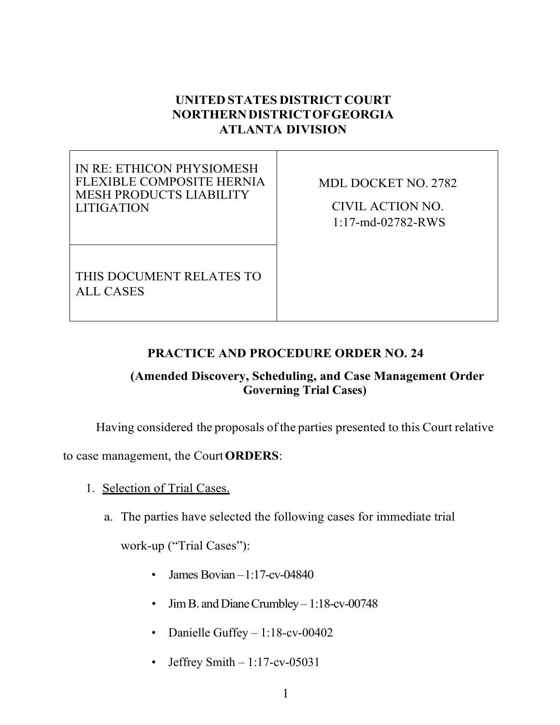## **UNITED STATES DISTRICT COURT NORTHERN DISTRICT OF GEORGIA ATLANTA DIVISION**

IN RE: ETHICON PHYSIOMESH FLEXIBLE COMPOSITE HERNIA MESH PRODUCTS LIABILITY LITIGATION

MDL DOCKET NO. 2782

CIVIL ACTION NO. 1:17-md-02782-RWS

THIS DOCUMENT RELATES TO ALL CASES

## **PRACTICE AND PROCEDURE ORDER NO. 24**

## **(Amended Discovery, Scheduling, and Case Management Order Governing Trial Cases)**

Having considered the proposals of the parties presented to this Court relative

to case management, the Court**ORDERS**:

- 1. Selection of Trial Cases.
	- a. The parties have selected the following cases for immediate trial

work-up ("Trial Cases"):

- James Bovian  $-1:17$ -cv-04840
- Jim B. and Diane Crumbley  $-1:18$ -cv-00748
- Danielle Guffey  $1:18$ -cv-00402
- Jeffrey Smith  $-1:17$ -cv-05031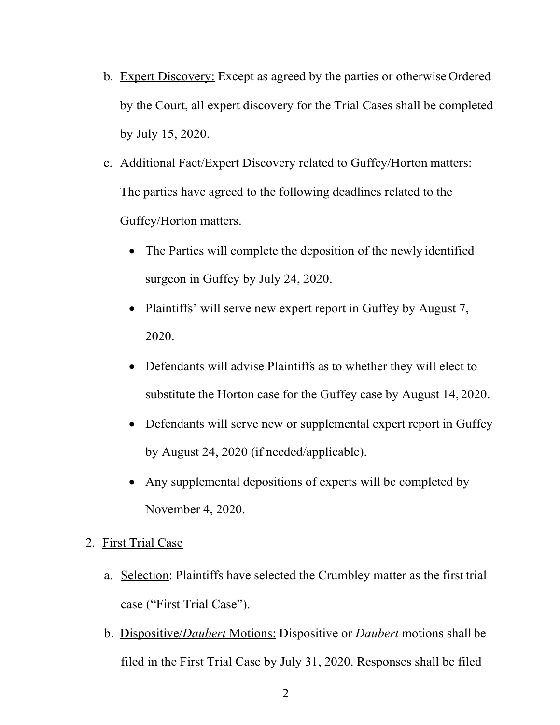- b. Expert Discovery: Except as agreed by the parties or otherwise Ordered by the Court, all expert discovery for the Trial Cases shall be completed by July 15, 2020.
- c. Additional Fact/Expert Discovery related to Guffey/Horton matters: The parties have agreed to the following deadlines related to the Guffey/Horton matters.
	- The Parties will complete the deposition of the newly identified surgeon in Guffey by July 24, 2020.
	- Plaintiffs' will serve new expert report in Guffey by August 7, 2020.
	- Defendants will advise Plaintiffs as to whether they will elect to substitute the Horton case for the Guffey case by August 14, 2020.
	- Defendants will serve new or supplemental expert report in Guffey by August 24, 2020 (if needed/applicable).
	- Any supplemental depositions of experts will be completed by November 4, 2020.
- 2. First Trial Case
	- a. Selection: Plaintiffs have selected the Crumbley matter as the first trial case ("First Trial Case").
	- b. Dispositive/*Daubert* Motions: Dispositive or *Daubert* motions shall be filed in the First Trial Case by July 31, 2020. Responses shall be filed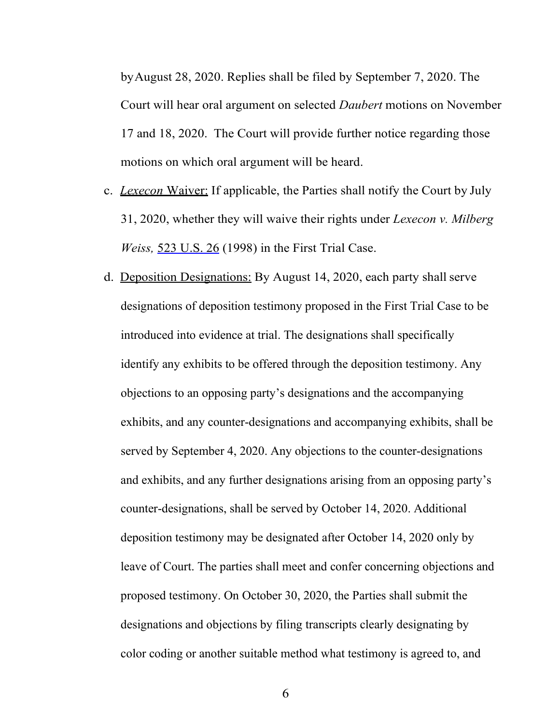by August 28, 2020. Replies shall be filed by September 7, 2020. The Court will hear oral argument on selected *Daubert* motions on November 17 and 18, 2020. The Court will provide further notice regarding those motions on which oral argument will be heard.

- c. *Lexecon* Waiver: If applicable, the Parties shall notify the Court by July 31, 2020, whether they will waive their rights under *Lexecon v. Milberg Weiss*, 523 U.S. 26 (1998) in the First Trial Case.
- d. Deposition Designations: By August 14, 2020, each party shall serve designations of deposition testimony proposed in the First Trial Case to be introduced into evidence at trial. The designations shall specifically identify any exhibits to be offered through the deposition testimony. Any objections to an opposing party's designations and the accompanying exhibits, and any counter-designations and accompanying exhibits, shall be served by September 4, 2020. Any objections to the counter-designations and exhibits, and any further designations arising from an opposing party's counter-designations, shall be served by October 14, 2020. Additional deposition testimony may be designated after October 14, 2020 only by leave of Court. The parties shall meet and confer concerning objections and proposed testimony. On October 30, 2020, the Parties shall submit the designations and objections by filing transcripts clearly designating by color coding or another suitable method what testimony is agreed to, and

6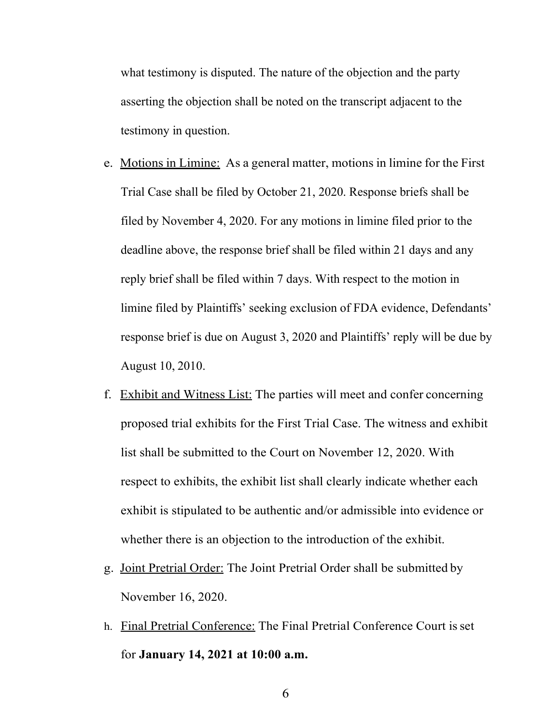what testimony is disputed. The nature of the objection and the party asserting the objection shall be noted on the transcript adjacent to the testimony in question.

- e. Motions in Limine: As a general matter, motions in limine for the First Trial Case shall be filed by October 21, 2020. Response briefs shall be filed by November 4, 2020. For any motions in limine filed prior to the deadline above, the response brief shall be filed within 21 days and any reply brief shall be filed within 7 days. With respect to the motion in limine filed by Plaintiffs' seeking exclusion of FDA evidence, Defendants' response brief is due on August 3, 2020 and Plaintiffs' reply will be due by August 10, 2010.
- f. Exhibit and Witness List: The parties will meet and confer concerning proposed trial exhibits for the First Trial Case. The witness and exhibit list shall be submitted to the Court on November 12, 2020. With respect to exhibits, the exhibit list shall clearly indicate whether each exhibit is stipulated to be authentic and/or admissible into evidence or whether there is an objection to the introduction of the exhibit.
- g. Joint Pretrial Order: The Joint Pretrial Order shall be submitted by November 16, 2020.
- h. Final Pretrial Conference: The Final Pretrial Conference Court is set for **January 14, 2021 at 10:00 a.m.**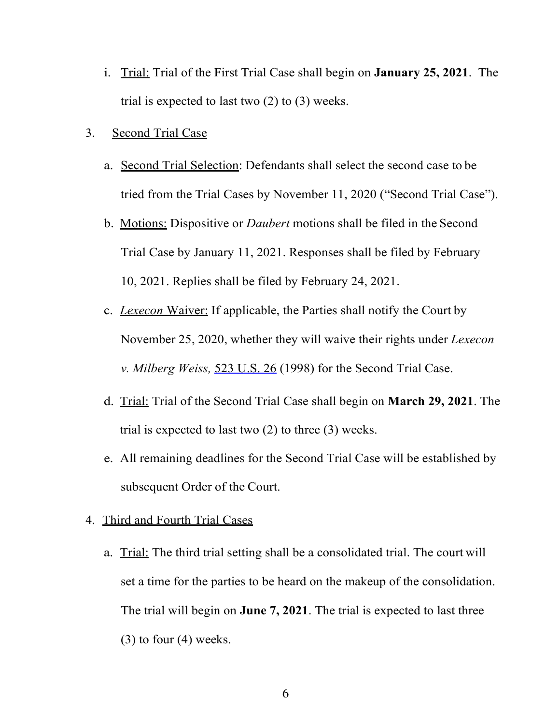- i. Trial: Trial of the First Trial Case shall begin on **January 25, 2021**. The trial is expected to last two  $(2)$  to  $(3)$  weeks.
- 3. Second Trial Case
	- a. Second Trial Selection: Defendants shall select the second case to be tried from the Trial Cases by November 11, 2020 ("Second Trial Case").
	- b. Motions: Dispositive or *Daubert* motions shall be filed in the Second Trial Case by January 11, 2021. Responses shall be filed by February 10, 2021. Replies shall be filed by February 24, 2021.
	- c. *Lexecon* Waiver: If applicable, the Parties shall notify the Court by November 25, 2020, whether they will waive their rights under *Lexecon v. Milberg Weiss,* 523 U.S. 26 (1998) for the Second Trial Case.
	- d. Trial: Trial of the Second Trial Case shall begin on **March 29, 2021**. The trial is expected to last two  $(2)$  to three  $(3)$  weeks.
	- e. All remaining deadlines for the Second Trial Case will be established by subsequent Order of the Court.

## 4. Third and Fourth Trial Cases

a. Trial: The third trial setting shall be a consolidated trial. The court will set a time for the parties to be heard on the makeup of the consolidation. The trial will begin on **June 7, 2021**. The trial is expected to last three  $(3)$  to four  $(4)$  weeks.